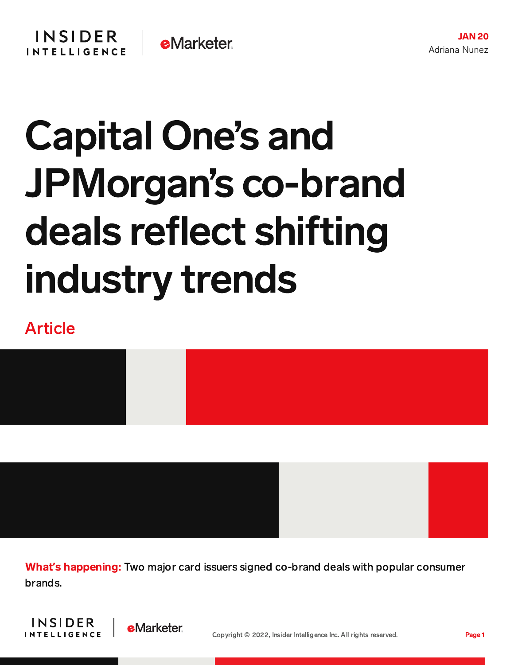# Capital One's and JPMorgan's co-brand deals reflect shifting industry trends

### Article



What**'**s happening: Two major card issuers signed co-brand deals with popular consumer brands.



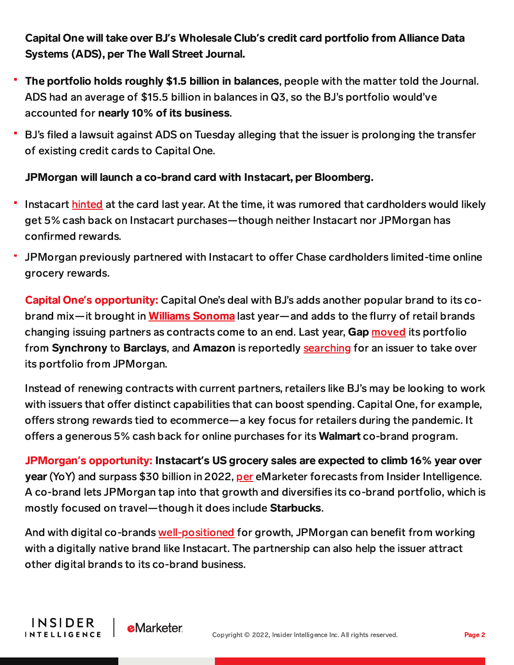#### Capital One will take over BJ**'**s Wholesale Club**'**s credit card portfolio from Alliance Data Systems (ADS), per The Wall Street Journal.

- The portfolio holds roughly \$1.5 billion in balances, people with the matter told the Journal. ADS had an average of \$15.5 billion in balances in Q3, so the BJ's portfolio would've accounted for nearly 10% of its business.
- BJ's filed a lawsuit against ADS on Tuesday alleging that the issuer is prolonging the transfer of existing credit cards to Capital One.

#### JPMorgan will launch a co-brand card with Instacart, per Bloomberg.

- Instacart [hinted](https://content-na1.emarketer.com/doordash-instacart-look-dive-credit-card-space) at the card last year. At the time, it was rumored that cardholders would likely get 5% cash back on Instacart purchases—though neither Instacart nor JPMorgan has confirmed rewards.
- JPMorgan previously partnered with Instacart to offer Chase cardholders limited-time online grocery rewards.

Capital One**'**s opportunity: Capital One's deal with BJ's adds another popular brand to its cobrand mix—it brought in **Williams [Sonoma](https://content-na1.emarketer.com/capital-one-launches-all-new-williams-sonoma-credit-card-rewards-program)** last year—and adds to the flurry of retail brands changing issuing partners as contracts come to an end. Last year, Gap [moved](https://content-na1.emarketer.com/gap-moves-its-credit-card-business-synchrony-barclays) its portfolio from Synchrony to Barclays, and Amazon is reportedly [searching](https://content-na1.emarketer.com/amazon-ignites-search-bidders-take-on-cobranded-card-portfolio) for an issuer to take over its portfolio from JPMorgan.

Instead of renewing contracts with current partners, retailers like BJ's may be looking to work with issuers that offer distinct capabilities that can boost spending. Capital One, for example, offers strong rewards tied to ecommerce—a key focus for retailers during the pandemic. It offers a generous 5% cash back for online purchases for its **Walmart** co-brand program.

JPMorgan**'**s opportunity: Instacart**'**s US grocery sales are expected to climb 16% year over year (YoY) and surpass \$30 billion in 2022, [per](https://forecasts-na1.emarketer.com/6170f151b215ff1584c85f76/61194a99197ec70c50689670) eMarketer forecasts from Insider Intelligence. A co-brand lets JPMorgan tap into that growth and diversifies its co-brand portfolio, which is mostly focused on travel—though it does include Starbucks.

And with digital co-brands [well-positioned](https://content-na1.emarketer.com/co-brand-credit-card-report#The_CoBrand_Cards_Market) for growth, JPMorgan can benefit from working with a digitally native brand like Instacart. The partnership can also help the issuer attract other digital brands to its co-brand business.

**INSIDER** 

**INTELLIGENCE** 

**e**Marketer